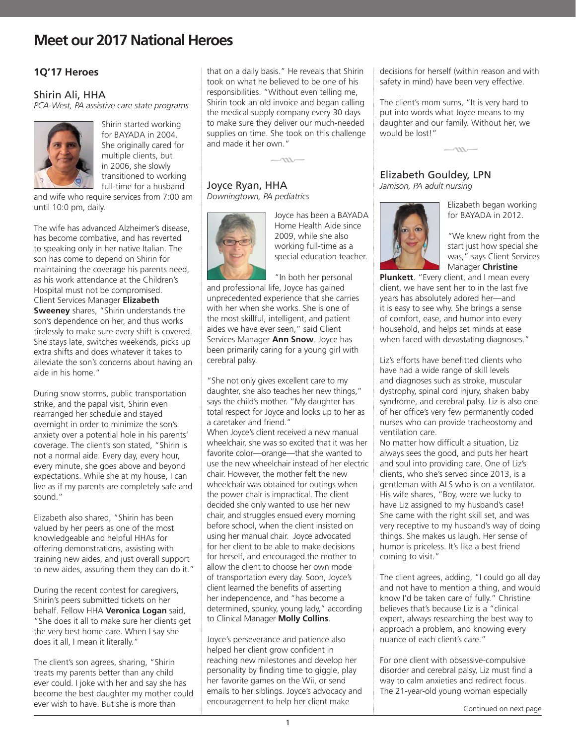### **1Q'17 Heroes**

#### Shirin Ali, HHA

*PCA-West, PA assistive care state programs*



Shirin started working for BAYADA in 2004. She originally cared for multiple clients, but in 2006, she slowly transitioned to working full-time for a husband

and wife who require services from 7:00 am until 10:0 pm, daily.

The wife has advanced Alzheimer's disease, has become combative, and has reverted to speaking only in her native Italian. The son has come to depend on Shirin for maintaining the coverage his parents need, as his work attendance at the Children's Hospital must not be compromised. Client Services Manager **Elizabeth Sweeney** shares, "Shirin understands the son's dependence on her, and thus works tirelessly to make sure every shift is covered. She stays late, switches weekends, picks up extra shifts and does whatever it takes to alleviate the son's concerns about having an aide in his home."

During snow storms, public transportation strike, and the papal visit, Shirin even rearranged her schedule and stayed overnight in order to minimize the son's anxiety over a potential hole in his parents' coverage. The client's son stated, "Shirin is not a normal aide. Every day, every hour, every minute, she goes above and beyond expectations. While she at my house, I can live as if my parents are completely safe and sound."

Elizabeth also shared, "Shirin has been valued by her peers as one of the most knowledgeable and helpful HHAs for offering demonstrations, assisting with training new aides, and just overall support to new aides, assuring them they can do it."

During the recent contest for caregivers, Shirin's peers submitted tickets on her behalf. Fellow HHA **Veronica Logan** said, "She does it all to make sure her clients get the very best home care. When I say she does it all, I mean it literally."

The client's son agrees, sharing, "Shirin treats my parents better than any child ever could. I joke with her and say she has become the best daughter my mother could ever wish to have. But she is more than

that on a daily basis." He reveals that Shirin took on what he believed to be one of his responsibilities. "Without even telling me, Shirin took an old invoice and began calling the medical supply company every 30 days to make sure they deliver our much-needed supplies on time. She took on this challenge and made it her own."

#### $\sim$

#### Joyce Ryan, HHA *Downingtown, PA pediatrics*



Joyce has been a BAYADA Home Health Aide since 2009, while she also working full-time as a special education teacher.

"In both her personal and professional life, Joyce has gained unprecedented experience that she carries with her when she works. She is one of the most skillful, intelligent, and patient aides we have ever seen," said Client Services Manager **Ann Snow**. Joyce has been primarily caring for a young girl with cerebral palsy.

"She not only gives excellent care to my daughter, she also teaches her new things," says the child's mother. "My daughter has total respect for Joyce and looks up to her as a caretaker and friend." When Joyce's client received a new manual wheelchair, she was so excited that it was her favorite color—orange—that she wanted to use the new wheelchair instead of her electric chair. However, the mother felt the new wheelchair was obtained for outings when the power chair is impractical. The client decided she only wanted to use her new chair, and struggles ensued every morning before school, when the client insisted on using her manual chair. Joyce advocated for her client to be able to make decisions for herself, and encouraged the mother to allow the client to choose her own mode of transportation every day. Soon, Joyce's client learned the benefits of asserting her independence, and "has become a determined, spunky, young lady," according to Clinical Manager **Molly Collins**.

Joyce's perseverance and patience also helped her client grow confident in reaching new milestones and develop her personality by finding time to giggle, play her favorite games on the Wii, or send emails to her siblings. Joyce's advocacy and encouragement to help her client make

decisions for herself (within reason and with safety in mind) have been very effective.

The client's mom sums, "It is very hard to put into words what Joyce means to my daughter and our family. Without her, we would be lost!"



#### Elizabeth Gouldey, LPN *Jamison, PA adult nursing*



Elizabeth began working for BAYADA in 2012.

"We knew right from the start just how special she was," says Client Services Manager **Christine** 

**Plunkett**. "Every client, and I mean every client, we have sent her to in the last five years has absolutely adored her—and it is easy to see why. She brings a sense of comfort, ease, and humor into every household, and helps set minds at ease when faced with devastating diagnoses."

Liz's efforts have benefitted clients who have had a wide range of skill levels and diagnoses such as stroke, muscular dystrophy, spinal cord injury, shaken baby syndrome, and cerebral palsy. Liz is also one of her office's very few permanently coded nurses who can provide tracheostomy and ventilation care.

No matter how difficult a situation, Liz always sees the good, and puts her heart and soul into providing care. One of Liz's clients, who she's served since 2013, is a gentleman with ALS who is on a ventilator. His wife shares, "Boy, were we lucky to have Liz assigned to my husband's case! She came with the right skill set, and was very receptive to my husband's way of doing things. She makes us laugh. Her sense of humor is priceless. It's like a best friend coming to visit."

The client agrees, adding, "I could go all day and not have to mention a thing, and would know I'd be taken care of fully." Christine believes that's because Liz is a "clinical expert, always researching the best way to approach a problem, and knowing every nuance of each client's care."

For one client with obsessive-compulsive disorder and cerebral palsy, Liz must find a way to calm anxieties and redirect focus. The 21-year-old young woman especially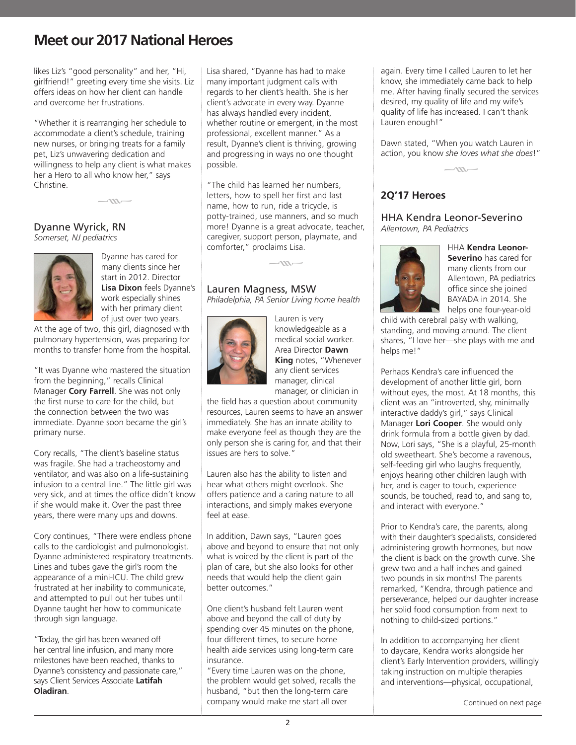likes Liz's "good personality" and her, "Hi, girlfriend!" greeting every time she visits. Liz offers ideas on how her client can handle and overcome her frustrations.

"Whether it is rearranging her schedule to accommodate a client's schedule, training new nurses, or bringing treats for a family pet, Liz's unwavering dedication and willingness to help any client is what makes her a Hero to all who know her," says Christine.

 $-\infty$ 

#### Dyanne Wyrick, RN *Somerset, NJ pediatrics*



Dyanne has cared for many clients since her start in 2012. Director **Lisa Dixon** feels Dyanne's work especially shines with her primary client of just over two years.

At the age of two, this girl, diagnosed with pulmonary hypertension, was preparing for months to transfer home from the hospital.

"It was Dyanne who mastered the situation from the beginning," recalls Clinical Manager **Cory Farrell**. She was not only the first nurse to care for the child, but the connection between the two was immediate. Dyanne soon became the girl's primary nurse.

Cory recalls, "The client's baseline status was fragile. She had a tracheostomy and ventilator, and was also on a life-sustaining infusion to a central line." The little girl was very sick, and at times the office didn't know if she would make it. Over the past three years, there were many ups and downs.

Cory continues, "There were endless phone calls to the cardiologist and pulmonologist. Dyanne administered respiratory treatments. Lines and tubes gave the girl's room the appearance of a mini-ICU. The child grew frustrated at her inability to communicate, and attempted to pull out her tubes until Dyanne taught her how to communicate through sign language.

"Today, the girl has been weaned off her central line infusion, and many more milestones have been reached, thanks to Dyanne's consistency and passionate care," says Client Services Associate **Latifah Oladiran**.

Lisa shared, "Dyanne has had to make many important judgment calls with regards to her client's health. She is her client's advocate in every way. Dyanne has always handled every incident, whether routine or emergent, in the most professional, excellent manner." As a result, Dyanne's client is thriving, growing and progressing in ways no one thought possible.

"The child has learned her numbers, letters, how to spell her first and last name, how to run, ride a tricycle, is potty-trained, use manners, and so much more! Dyanne is a great advocate, teacher, caregiver, support person, playmate, and comforter," proclaims Lisa.

 $-uv$ 

### Lauren Magness, MSW

*Philadelphia, PA Senior Living home health*



Lauren is very knowledgeable as a medical social worker. Area Director **Dawn King** notes, "Whenever any client services manager, clinical manager, or clinician in

the field has a question about community resources, Lauren seems to have an answer immediately. She has an innate ability to make everyone feel as though they are the only person she is caring for, and that their issues are hers to solve."

Lauren also has the ability to listen and hear what others might overlook. She offers patience and a caring nature to all interactions, and simply makes everyone feel at ease.

In addition, Dawn says, "Lauren goes above and beyond to ensure that not only what is voiced by the client is part of the plan of care, but she also looks for other needs that would help the client gain better outcomes."

One client's husband felt Lauren went above and beyond the call of duty by spending over 45 minutes on the phone, four different times, to secure home health aide services using long-term care insurance.

"Every time Lauren was on the phone, the problem would get solved, recalls the husband, "but then the long-term care company would make me start all over

again. Every time I called Lauren to let her know, she immediately came back to help me. After having finally secured the services desired, my quality of life and my wife's quality of life has increased. I can't thank Lauren enough!"

Dawn stated, "When you watch Lauren in action, you know *she loves what she does*!"



### **2Q'17 Heroes**

HHA Kendra Leonor-Severino *Allentown, PA Pediatrics*



HHA **Kendra Leonor-Severino** has cared for many clients from our Allentown, PA pediatrics office since she joined BAYADA in 2014. She helps one four-year-old

child with cerebral palsy with walking, standing, and moving around. The client shares, "I love her—she plays with me and helps me!"

Perhaps Kendra's care influenced the development of another little girl, born without eyes, the most. At 18 months, this client was an "introverted, shy, minimally interactive daddy's girl," says Clinical Manager **Lori Cooper**. She would only drink formula from a bottle given by dad. Now, Lori says, "She is a playful, 25-month old sweetheart. She's become a ravenous, self-feeding girl who laughs frequently, enjoys hearing other children laugh with her, and is eager to touch, experience sounds, be touched, read to, and sang to, and interact with everyone."

Prior to Kendra's care, the parents, along with their daughter's specialists, considered administering growth hormones, but now the client is back on the growth curve. She grew two and a half inches and gained two pounds in six months! The parents remarked, "Kendra, through patience and perseverance, helped our daughter increase her solid food consumption from next to nothing to child-sized portions."

In addition to accompanying her client to daycare, Kendra works alongside her client's Early Intervention providers, willingly taking instruction on multiple therapies and interventions—physical, occupational,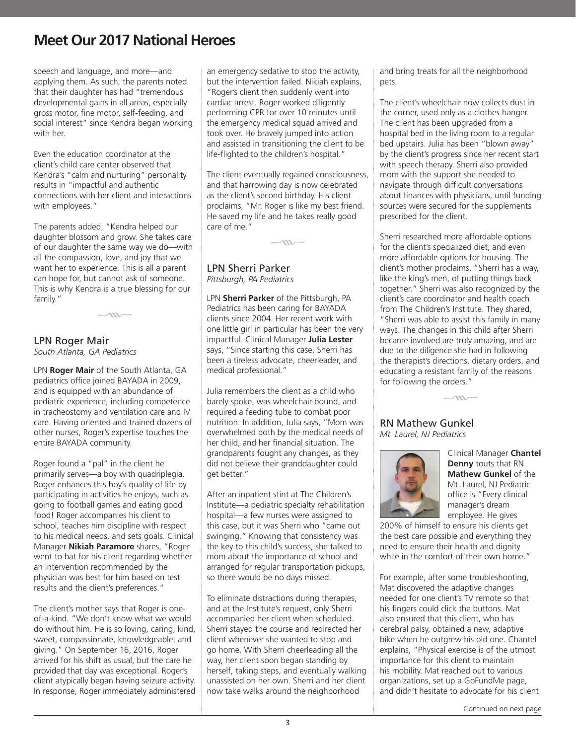speech and language, and more—and applying them. As such, the parents noted that their daughter has had "tremendous developmental gains in all areas, especially gross motor, fine motor, self-feeding, and social interest" since Kendra began working with her.

Even the education coordinator at the client's child care center observed that Kendra's "calm and nurturing" personality results in "impactful and authentic connections with her client and interactions with employees."

The parents added, "Kendra helped our daughter blossom and grow. She takes care of our daughter the same way we do—with all the compassion, love, and joy that we want her to experience. This is all a parent can hope for, but cannot ask of someone. This is why Kendra is a true blessing for our family."

 $-m-$ 

#### LPN Roger Mair *South Atlanta, GA Pediatrics*

LPN **Roger Mair** of the South Atlanta, GA pediatrics office joined BAYADA in 2009, and is equipped with an abundance of pediatric experience, including competence in tracheostomy and ventilation care and IV care. Having oriented and trained dozens of other nurses, Roger's expertise touches the entire BAYADA community.

Roger found a "pal" in the client he primarily serves—a boy with quadriplegia. Roger enhances this boy's quality of life by participating in activities he enjoys, such as going to football games and eating good food! Roger accompanies his client to school, teaches him discipline with respect to his medical needs, and sets goals. Clinical Manager **Nikiah Paramore** shares, "Roger went to bat for his client regarding whether an intervention recommended by the physician was best for him based on test results and the client's preferences."

The client's mother says that Roger is oneof-a-kind. "We don't know what we would do without him. He is so loving, caring, kind, sweet, compassionate, knowledgeable, and giving." On September 16, 2016, Roger arrived for his shift as usual, but the care he provided that day was exceptional. Roger's client atypically began having seizure activity. In response, Roger immediately administered

an emergency sedative to stop the activity, but the intervention failed. Nikiah explains, "Roger's client then suddenly went into cardiac arrest. Roger worked diligently performing CPR for over 10 minutes until the emergency medical squad arrived and took over. He bravely jumped into action and assisted in transitioning the client to be life-flighted to the children's hospital."

The client eventually regained consciousness, and that harrowing day is now celebrated as the client's second birthday. His client proclaims, "Mr. Roger is like my best friend. He saved my life and he takes really good care of me."

 $-m-$ 

LPN Sherri Parker

*Pittsburgh, PA Pediatrics* 

LPN **Sherri Parker** of the Pittsburgh, PA Pediatrics has been caring for BAYADA clients since 2004. Her recent work with one little girl in particular has been the very impactful. Clinical Manager **Julia Lester** says, "Since starting this case, Sherri has been a tireless advocate, cheerleader, and medical professional."

Julia remembers the client as a child who barely spoke, was wheelchair-bound, and required a feeding tube to combat poor nutrition. In addition, Julia says, "Mom was overwhelmed both by the medical needs of her child, and her financial situation. The grandparents fought any changes, as they did not believe their granddaughter could get better."

After an inpatient stint at The Children's Institute—a pediatric specialty rehabilitation hospital—a few nurses were assigned to this case, but it was Sherri who "came out swinging." Knowing that consistency was the key to this child's success, she talked to mom about the importance of school and arranged for regular transportation pickups, so there would be no days missed.

To eliminate distractions during therapies, and at the Institute's request, only Sherri accompanied her client when scheduled. Sherri stayed the course and redirected her client whenever she wanted to stop and go home. With Sherri cheerleading all the way, her client soon began standing by herself, taking steps, and eventually walking unassisted on her own. Sherri and her client now take walks around the neighborhood

and bring treats for all the neighborhood pets.

The client's wheelchair now collects dust in the corner, used only as a clothes hanger. The client has been upgraded from a hospital bed in the living room to a regular bed upstairs. Julia has been "blown away" by the client's progress since her recent start with speech therapy. Sherri also provided mom with the support she needed to navigate through difficult conversations about finances with physicians, until funding sources were secured for the supplements prescribed for the client.

Sherri researched more affordable options for the client's specialized diet, and even more affordable options for housing. The client's mother proclaims, "Sherri has a way, like the king's men, of putting things back together." Sherri was also recognized by the client's care coordinator and health coach from The Children's Institute. They shared, "Sherri was able to assist this family in many ways. The changes in this child after Sherri became involved are truly amazing, and are due to the diligence she had in following the therapist's directions, dietary orders, and educating a resistant family of the reasons for following the orders."



#### RN Mathew Gunkel *Mt. Laurel, NJ Pediatrics*



Clinical Manager **Chantel Denny** touts that RN **Mathew Gunkel** of the Mt. Laurel, NJ Pediatric office is "Every clinical manager's dream employee. He gives

200% of himself to ensure his clients get the best care possible and everything they need to ensure their health and dignity while in the comfort of their own home."

For example, after some troubleshooting, Mat discovered the adaptive changes needed for one client's TV remote so that his fingers could click the buttons. Mat also ensured that this client, who has cerebral palsy, obtained a new, adaptive bike when he outgrew his old one. Chantel explains, "Physical exercise is of the utmost importance for this client to maintain his mobility. Mat reached out to various organizations, set up a GoFundMe page, and didn't hesitate to advocate for his client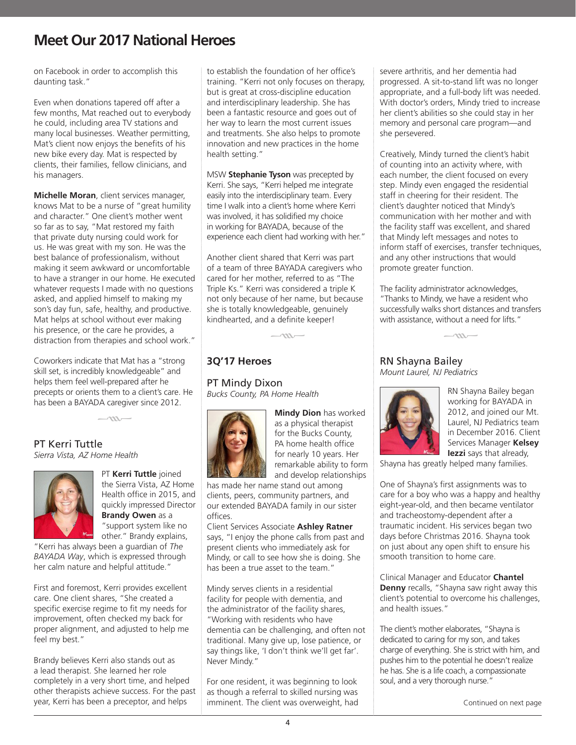on Facebook in order to accomplish this daunting task."

Even when donations tapered off after a few months, Mat reached out to everybody he could, including area TV stations and many local businesses. Weather permitting, Mat's client now enjoys the benefits of his new bike every day. Mat is respected by clients, their families, fellow clinicians, and his managers.

**Michelle Moran**, client services manager, knows Mat to be a nurse of "great humility and character." One client's mother went so far as to say, "Mat restored my faith that private duty nursing could work for us. He was great with my son. He was the best balance of professionalism, without making it seem awkward or uncomfortable to have a stranger in our home. He executed whatever requests I made with no questions asked, and applied himself to making my son's day fun, safe, healthy, and productive. Mat helps at school without ever making his presence, or the care he provides, a distraction from therapies and school work."

Coworkers indicate that Mat has a "strong skill set, is incredibly knowledgeable" and helps them feel well-prepared after he precepts or orients them to a client's care. He has been a BAYADA caregiver since 2012.

 $\sim$ m-

#### PT Kerri Tuttle *Sierra Vista, AZ Home Health*



PT **Kerri Tuttle** joined the Sierra Vista, AZ Home Health office in 2015, and quickly impressed Director **Brandy Owen** as a "support system like no other." Brandy explains,

"Kerri has always been a guardian of *The BAYADA Way*, which is expressed through her calm nature and helpful attitude."

First and foremost, Kerri provides excellent care. One client shares, "She created a specific exercise regime to fit my needs for improvement, often checked my back for proper alignment, and adjusted to help me feel my best."

Brandy believes Kerri also stands out as a lead therapist. She learned her role completely in a very short time, and helped other therapists achieve success. For the past year, Kerri has been a preceptor, and helps

to establish the foundation of her office's training. "Kerri not only focuses on therapy, but is great at cross-discipline education and interdisciplinary leadership. She has been a fantastic resource and goes out of her way to learn the most current issues and treatments. She also helps to promote innovation and new practices in the home health setting."

MSW **Stephanie Tyson** was precepted by Kerri. She says, "Kerri helped me integrate easily into the interdisciplinary team. Every time I walk into a client's home where Kerri was involved, it has solidified my choice in working for BAYADA, because of the experience each client had working with her."

Another client shared that Kerri was part of a team of three BAYADA caregivers who cared for her mother, referred to as "The Triple Ks." Kerri was considered a triple K not only because of her name, but because she is totally knowledgeable, genuinely kindhearted, and a definite keeper!



### **3Q'17 Heroes**

PT Mindy Dixon *Bucks County, PA Home Health*



**Mindy Dion** has worked as a physical therapist for the Bucks County, PA home health office for nearly 10 years. Her remarkable ability to form and develop relationships

has made her name stand out among clients, peers, community partners, and our extended BAYADA family in our sister offices.

Client Services Associate **Ashley Ratner** says, "I enjoy the phone calls from past and present clients who immediately ask for Mindy, or call to see how she is doing. She has been a true asset to the team."

Mindy serves clients in a residential facility for people with dementia, and the administrator of the facility shares, "Working with residents who have dementia can be challenging, and often not traditional. Many give up, lose patience, or say things like, 'I don't think we'll get far'. Never Mindy."

For one resident, it was beginning to look as though a referral to skilled nursing was imminent. The client was overweight, had severe arthritis, and her dementia had progressed. A sit-to-stand lift was no longer appropriate, and a full-body lift was needed. With doctor's orders, Mindy tried to increase her client's abilities so she could stay in her memory and personal care program—and she persevered.

Creatively, Mindy turned the client's habit of counting into an activity where, with each number, the client focused on every step. Mindy even engaged the residential staff in cheering for their resident. The client's daughter noticed that Mindy's communication with her mother and with the facility staff was excellent, and shared that Mindy left messages and notes to inform staff of exercises, transfer techniques, and any other instructions that would promote greater function.

The facility administrator acknowledges, "Thanks to Mindy, we have a resident who successfully walks short distances and transfers with assistance, without a need for lifts."



#### RN Shayna Bailey *Mount Laurel, NJ Pediatrics*



RN Shayna Bailey began working for BAYADA in 2012, and joined our Mt. Laurel, NJ Pediatrics team in December 2016. Client Services Manager **Kelsey Iezzi** says that already,

Shayna has greatly helped many families.

One of Shayna's first assignments was to care for a boy who was a happy and healthy eight-year-old, and then became ventilator and tracheostomy-dependent after a traumatic incident. His services began two days before Christmas 2016. Shayna took on just about any open shift to ensure his smooth transition to home care.

Clinical Manager and Educator **Chantel Denny** recalls, "Shayna saw right away this client's potential to overcome his challenges, and health issues."

The client's mother elaborates, "Shayna is dedicated to caring for my son, and takes charge of everything. She is strict with him, and pushes him to the potential he doesn't realize he has. She is a life coach, a compassionate soul, and a very thorough nurse."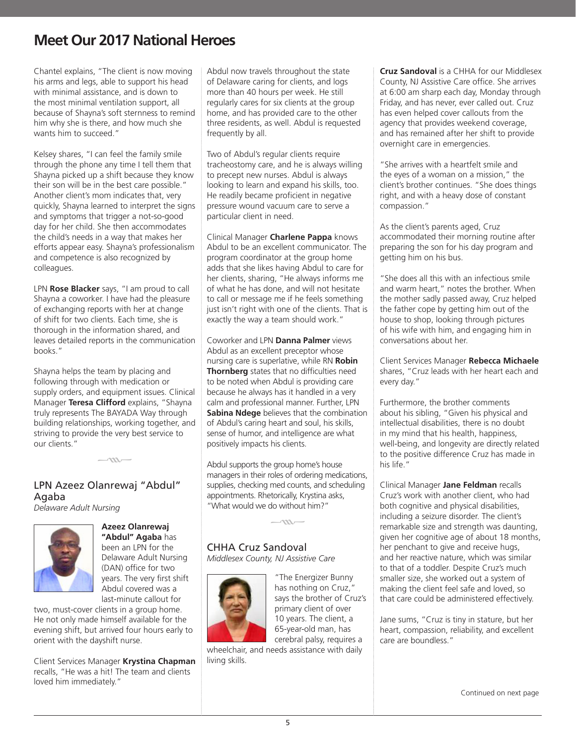Chantel explains, "The client is now moving his arms and legs, able to support his head with minimal assistance, and is down to the most minimal ventilation support, all because of Shayna's soft sternness to remind him why she is there, and how much she wants him to succeed."

Kelsey shares, "I can feel the family smile through the phone any time I tell them that Shayna picked up a shift because they know their son will be in the best care possible." Another client's mom indicates that, very quickly, Shayna learned to interpret the signs and symptoms that trigger a not-so-good day for her child. She then accommodates the child's needs in a way that makes her efforts appear easy. Shayna's professionalism and competence is also recognized by colleagues.

LPN **Rose Blacker** says, "I am proud to call Shayna a coworker. I have had the pleasure of exchanging reports with her at change of shift for two clients. Each time, she is thorough in the information shared, and leaves detailed reports in the communication books."

Shayna helps the team by placing and following through with medication or supply orders, and equipment issues. Clinical Manager **Teresa Clifford** explains, "Shayna truly represents The BAYADA Way through building relationships, working together, and striving to provide the very best service to our clients."

 $-\infty$ 

#### LPN Azeez Olanrewaj "Abdul" Agaba *Delaware Adult Nursing*



**Azeez Olanrewaj "Abdul" Agaba** has been an LPN for the Delaware Adult Nursing (DAN) office for two years. The very first shift Abdul covered was a last-minute callout for

two, must-cover clients in a group home. He not only made himself available for the evening shift, but arrived four hours early to orient with the dayshift nurse.

Client Services Manager **Krystina Chapman** recalls, "He was a hit! The team and clients loved him immediately."

Abdul now travels throughout the state of Delaware caring for clients, and logs more than 40 hours per week. He still regularly cares for six clients at the group home, and has provided care to the other three residents, as well. Abdul is requested frequently by all.

Two of Abdul's regular clients require tracheostomy care, and he is always willing to precept new nurses. Abdul is always looking to learn and expand his skills, too. He readily became proficient in negative pressure wound vacuum care to serve a particular client in need.

Clinical Manager **Charlene Pappa** knows Abdul to be an excellent communicator. The program coordinator at the group home adds that she likes having Abdul to care for her clients, sharing, "He always informs me of what he has done, and will not hesitate to call or message me if he feels something just isn't right with one of the clients. That is exactly the way a team should work."

Coworker and LPN **Danna Palmer** views Abdul as an excellent preceptor whose nursing care is superlative, while RN **Robin Thornberg** states that no difficulties need to be noted when Abdul is providing care because he always has it handled in a very calm and professional manner. Further, LPN **Sabina Ndege** believes that the combination of Abdul's caring heart and soul, his skills, sense of humor, and intelligence are what positively impacts his clients.

Abdul supports the group home's house managers in their roles of ordering medications, supplies, checking med counts, and scheduling appointments. Rhetorically, Krystina asks, "What would we do without him?"

 $-m-$ 

### CHHA Cruz Sandoval

*Middlesex County, NJ Assistive Care* 



"The Energizer Bunny has nothing on Cruz," says the brother of Cruz's primary client of over 10 years. The client, a 65-year-old man, has cerebral palsy, requires a

wheelchair, and needs assistance with daily living skills.

**Cruz Sandoval** is a CHHA for our Middlesex County, NJ Assistive Care office. She arrives at 6:00 am sharp each day, Monday through Friday, and has never, ever called out. Cruz has even helped cover callouts from the agency that provides weekend coverage, and has remained after her shift to provide overnight care in emergencies.

"She arrives with a heartfelt smile and the eyes of a woman on a mission," the client's brother continues. "She does things right, and with a heavy dose of constant compassion."

As the client's parents aged, Cruz accommodated their morning routine after preparing the son for his day program and getting him on his bus.

"She does all this with an infectious smile and warm heart," notes the brother. When the mother sadly passed away, Cruz helped the father cope by getting him out of the house to shop, looking through pictures of his wife with him, and engaging him in conversations about her.

Client Services Manager **Rebecca Michaele** shares, "Cruz leads with her heart each and every day."

Furthermore, the brother comments about his sibling, "Given his physical and intellectual disabilities, there is no doubt in my mind that his health, happiness, well-being, and longevity are directly related to the positive difference Cruz has made in his life."

Clinical Manager **Jane Feldman** recalls Cruz's work with another client, who had both cognitive and physical disabilities, including a seizure disorder. The client's remarkable size and strength was daunting, given her cognitive age of about 18 months, her penchant to give and receive hugs, and her reactive nature, which was similar to that of a toddler. Despite Cruz's much smaller size, she worked out a system of making the client feel safe and loved, so that care could be administered effectively.

Jane sums, "Cruz is tiny in stature, but her heart, compassion, reliability, and excellent care are boundless."

Continued on next page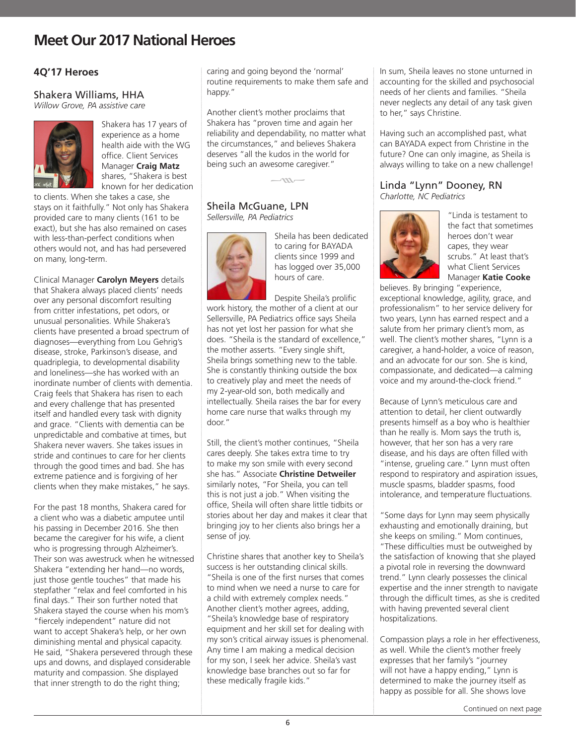### **4Q'17 Heroes**

### Shakera Williams, HHA

*Willow Grove, PA assistive care*



Shakera has 17 years of experience as a home health aide with the WG office. Client Services Manager **Craig Matz** shares, "Shakera is best known for her dedication

to clients. When she takes a case, she stays on it faithfully." Not only has Shakera provided care to many clients (161 to be exact), but she has also remained on cases with less-than-perfect conditions when others would not, and has had persevered on many, long-term.

Clinical Manager **Carolyn Meyers** details that Shakera always placed clients' needs over any personal discomfort resulting from critter infestations, pet odors, or unusual personalities. While Shakera's clients have presented a broad spectrum of diagnoses—everything from Lou Gehrig's disease, stroke, Parkinson's disease, and quadriplegia, to developmental disability and loneliness—she has worked with an inordinate number of clients with dementia. Craig feels that Shakera has risen to each and every challenge that has presented itself and handled every task with dignity and grace. "Clients with dementia can be unpredictable and combative at times, but Shakera never wavers. She takes issues in stride and continues to care for her clients through the good times and bad. She has extreme patience and is forgiving of her clients when they make mistakes," he says.

For the past 18 months, Shakera cared for a client who was a diabetic amputee until his passing in December 2016. She then became the caregiver for his wife, a client who is progressing through Alzheimer's. Their son was awestruck when he witnessed Shakera "extending her hand—no words, just those gentle touches" that made his stepfather "relax and feel comforted in his final days." Their son further noted that Shakera stayed the course when his mom's "fiercely independent" nature did not want to accept Shakera's help, or her own diminishing mental and physical capacity. He said, "Shakera persevered through these ups and downs, and displayed considerable maturity and compassion. She displayed that inner strength to do the right thing;

caring and going beyond the 'normal' routine requirements to make them safe and happy."

Another client's mother proclaims that Shakera has "proven time and again her reliability and dependability, no matter what the circumstances," and believes Shakera deserves "all the kudos in the world for being such an awesome caregiver."

 $-m-$ 

#### Sheila McGuane, LPN *Sellersville, PA Pediatrics*



Sheila has been dedicated to caring for BAYADA clients since 1999 and has logged over 35,000 hours of care.

Despite Sheila's prolific work history, the mother of a client at our Sellersville, PA Pediatrics office says Sheila has not yet lost her passion for what she does. "Sheila is the standard of excellence," the mother asserts. "Every single shift, Sheila brings something new to the table. She is constantly thinking outside the box to creatively play and meet the needs of my 2-year-old son, both medically and intellectually. Sheila raises the bar for every home care nurse that walks through my door."

Still, the client's mother continues, "Sheila cares deeply. She takes extra time to try to make my son smile with every second she has." Associate **Christine Detweiler** similarly notes, "For Sheila, you can tell this is not just a job." When visiting the office, Sheila will often share little tidbits or stories about her day and makes it clear that bringing joy to her clients also brings her a sense of joy.

Christine shares that another key to Sheila's success is her outstanding clinical skills. "Sheila is one of the first nurses that comes to mind when we need a nurse to care for a child with extremely complex needs." Another client's mother agrees, adding, "Sheila's knowledge base of respiratory equipment and her skill set for dealing with my son's critical airway issues is phenomenal. Any time I am making a medical decision for my son, I seek her advice. Sheila's vast knowledge base branches out so far for these medically fragile kids."

In sum, Sheila leaves no stone unturned in accounting for the skilled and psychosocial needs of her clients and families. "Sheila never neglects any detail of any task given to her," says Christine.

Having such an accomplished past, what can BAYADA expect from Christine in the future? One can only imagine, as Sheila is always willing to take on a new challenge!

#### Linda "Lynn" Dooney, RN *Charlotte, NC Pediatrics*



"Linda is testament to the fact that sometimes heroes don't wear capes, they wear scrubs." At least that's what Client Services Manager **Katie Cooke** 

believes. By bringing "experience, exceptional knowledge, agility, grace, and professionalism" to her service delivery for two years, Lynn has earned respect and a salute from her primary client's mom, as well. The client's mother shares, "Lynn is a caregiver, a hand-holder, a voice of reason, and an advocate for our son. She is kind, compassionate, and dedicated—a calming voice and my around-the-clock friend."

Because of Lynn's meticulous care and attention to detail, her client outwardly presents himself as a boy who is healthier than he really is. Mom says the truth is, however, that her son has a very rare disease, and his days are often filled with "intense, grueling care." Lynn must often respond to respiratory and aspiration issues, muscle spasms, bladder spasms, food intolerance, and temperature fluctuations.

"Some days for Lynn may seem physically exhausting and emotionally draining, but she keeps on smiling." Mom continues, "These difficulties must be outweighed by the satisfaction of knowing that she played a pivotal role in reversing the downward trend." Lynn clearly possesses the clinical expertise and the inner strength to navigate through the difficult times, as she is credited with having prevented several client hospitalizations.

Compassion plays a role in her effectiveness, as well. While the client's mother freely expresses that her family's "journey will not have a happy ending," Lynn is determined to make the journey itself as happy as possible for all. She shows love